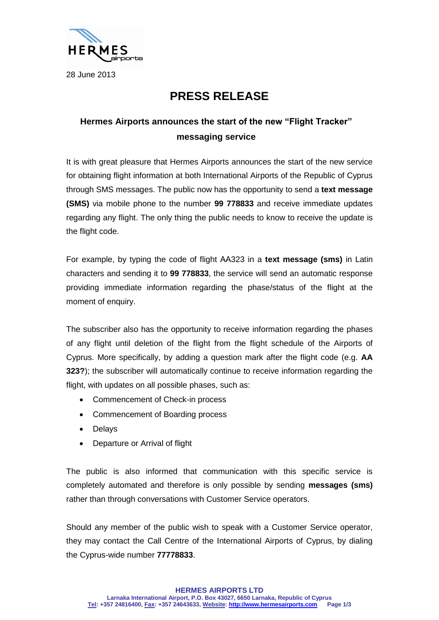

28 June 2013

## **PRESS RELEASE**

## **Hermes Airports announces the start of the new "Flight Tracker" messaging service**

It is with great pleasure that Hermes Airports announces the start of the new service for obtaining flight information at both International Airports of the Republic of Cyprus through SMS messages. The public now has the opportunity to send a **text message (SMS)** via mobile phone to the number **99 778833** and receive immediate updates regarding any flight. The only thing the public needs to know to receive the update is the flight code.

For example, by typing the code of flight ΑΑ323 in a **text message (sms)** in Latin characters and sending it to **99 778833**, the service will send an automatic response providing immediate information regarding the phase/status of the flight at the moment of enquiry.

The subscriber also has the opportunity to receive information regarding the phases of any flight until deletion of the flight from the flight schedule of the Airports of Cyprus. More specifically, by adding a question mark after the flight code (e.g. **AA 323?**); the subscriber will automatically continue to receive information regarding the flight, with updates on all possible phases, such as:

- Commencement of Check-in process
- Commencement of Boarding process
- Delays
- Departure or Arrival of flight

The public is also informed that communication with this specific service is completely automated and therefore is only possible by sending **messages (sms)** rather than through conversations with Customer Service operators.

Should any member of the public wish to speak with a Customer Service operator, they may contact the Call Centre of the International Airports of Cyprus, by dialing the Cyprus-wide number **77778833**.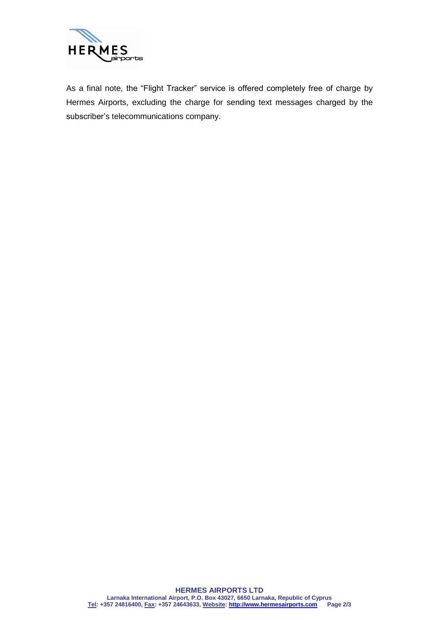

As a final note, the "Flight Tracker" service is offered completely free of charge by Hermes Airports, excluding the charge for sending text messages charged by the subscriber's telecommunications company.